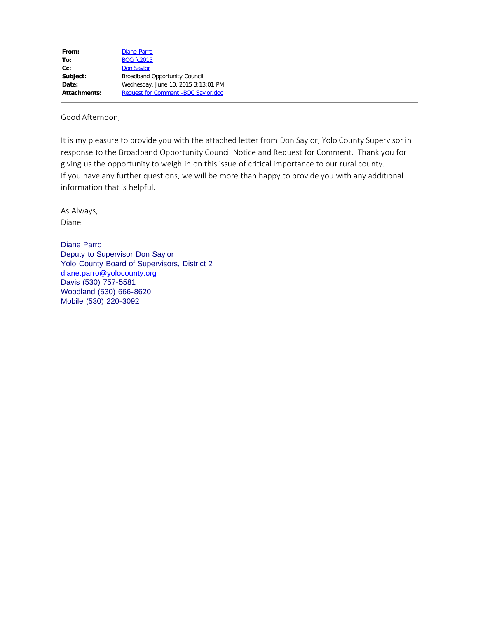| <b>Diane Parro</b>                   |
|--------------------------------------|
| <b>BOCrfc2015</b>                    |
| <b>Don Saylor</b>                    |
| <b>Broadband Opportunity Council</b> |
| Wednesday, June 10, 2015 3:13:01 PM  |
| Request for Comment - BOC Saylor.doc |
|                                      |

Good Afternoon,

It is my pleasure to provide you with the attached letter from Don Saylor, Yolo County Supervisor in response to the Broadband Opportunity Council Notice and Request for Comment. Thank you for giving us the opportunity to weigh in on this issue of critical importance to our rural county. If you have any further questions, we will be more than happy to provide you with any additional information that is helpful.

As Always, Diane

Diane Parro Deputy to Supervisor Don Saylor Yolo County Board of Supervisors, District 2 [diane.parro@yolocounty.org](mailto:diane.parro@yolocounty.org) Davis (530) 757-5581 Woodland (530) 666-8620 Mobile (530) 220-3092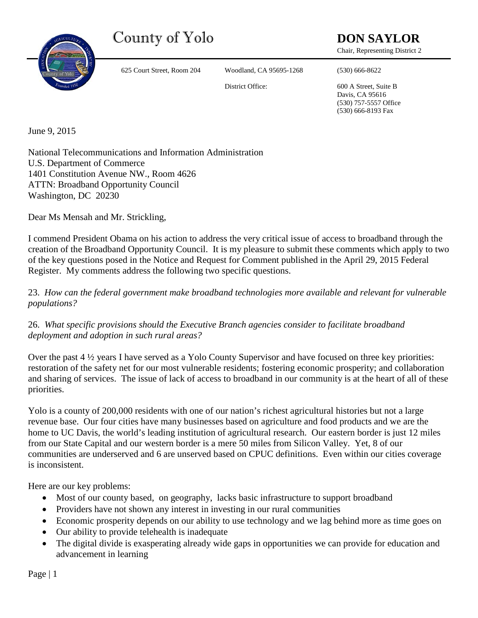County of Yolo **DON SAYLOR** 



625 Court Street, Room 204 Woodland, CA 95695-1268 (530) 666-8622

Chair, Representing District 2

District Office: 600 A Street, Suite B

Davis, CA 95616 (530) 757-5557 Office (530) 666-8193 Fax

June 9, 2015

National Telecommunications and Information Administration U.S. Department of Commerce 1401 Constitution Avenue NW., Room 4626 ATTN: Broadband Opportunity Council Washington, DC 20230

Dear Ms Mensah and Mr. Strickling,

I commend President Obama on his action to address the very critical issue of access to broadband through the creation of the Broadband Opportunity Council. It is my pleasure to submit these comments which apply to two of the key questions posed in the Notice and Request for Comment published in the April 29, 2015 Federal Register. My comments address the following two specific questions.

23. *How can the federal government make broadband technologies more available and relevant for vulnerable populations?*

26. *What specific provisions should the Executive Branch agencies consider to facilitate broadband deployment and adoption in such rural areas?*

Over the past 4 ½ years I have served as a Yolo County Supervisor and have focused on three key priorities: restoration of the safety net for our most vulnerable residents; fostering economic prosperity; and collaboration and sharing of services. The issue of lack of access to broadband in our community is at the heart of all of these priorities.

Yolo is a county of 200,000 residents with one of our nation's richest agricultural histories but not a large revenue base. Our four cities have many businesses based on agriculture and food products and we are the home to UC Davis, the world's leading institution of agricultural research. Our eastern border is just 12 miles from our State Capital and our western border is a mere 50 miles from Silicon Valley. Yet, 8 of our communities are underserved and 6 are unserved based on CPUC definitions. Even within our cities coverage is inconsistent.

Here are our key problems:

- Most of our county based, on geography, lacks basic infrastructure to support broadband
- Providers have not shown any interest in investing in our rural communities
- Economic prosperity depends on our ability to use technology and we lag behind more as time goes on
- Our ability to provide telehealth is inadequate
- The digital divide is exasperating already wide gaps in opportunities we can provide for education and advancement in learning